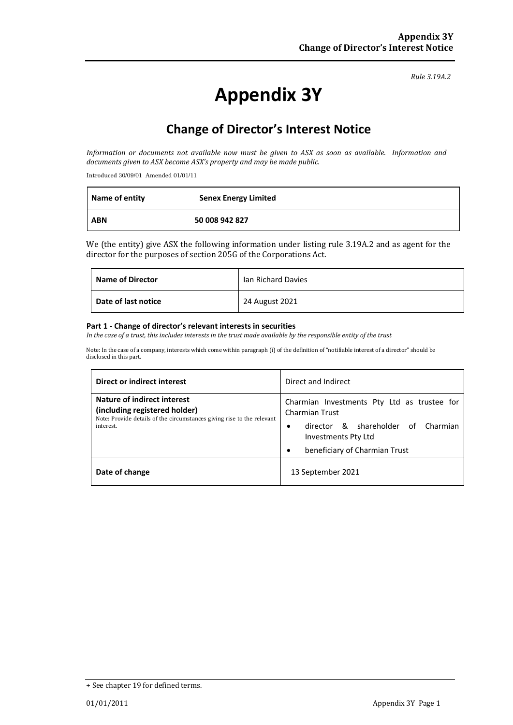#### *Rule 3.19A.2*

# **Appendix 3Y**

# **Change of Director's Interest Notice**

Information or documents not available now must be given to ASX as soon as available. Information and *documents given to ASX become ASX's property and may be made public.*

Introduced 30/09/01 Amended 01/01/11

| <b>Name of entity</b> | <b>Senex Energy Limited</b> |
|-----------------------|-----------------------------|
| <b>ABN</b>            | 50 008 942 827              |

We (the entity) give ASX the following information under listing rule 3.19A.2 and as agent for the director for the purposes of section 205G of the Corporations Act.

| <b>Name of Director</b> | lan Richard Davies |
|-------------------------|--------------------|
| Date of last notice     | 24 August 2021     |

#### **Part 1 ‐ Change of director's relevant interests in securities**

In the case of a trust, this includes interests in the trust made available by the responsible entity of the trust

Note: In the case of a company, interests which come within paragraph (i) of the definition of "notifiable interest of a director" should be disclosed in this part.

| Direct or indirect interest                                                                                                            | Direct and Indirect                                                                                                         |  |
|----------------------------------------------------------------------------------------------------------------------------------------|-----------------------------------------------------------------------------------------------------------------------------|--|
| Nature of indirect interest<br>(including registered holder)<br>Note: Provide details of the circumstances giving rise to the relevant | Charmian Investments Pty Ltd as trustee for<br><b>Charmian Trust</b>                                                        |  |
| interest.                                                                                                                              | director & shareholder of Charmian<br>$\bullet$<br><b>Investments Pty Ltd</b><br>beneficiary of Charmian Trust<br>$\bullet$ |  |
| Date of change                                                                                                                         | 13 September 2021                                                                                                           |  |

<sup>+</sup> See chapter 19 for defined terms.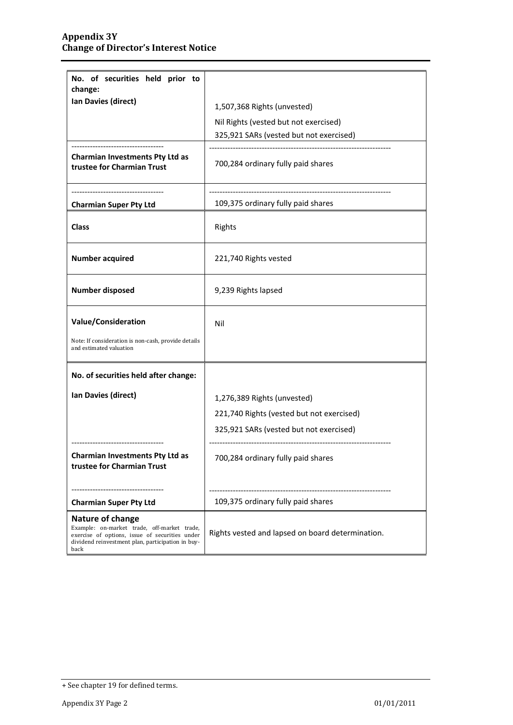| No. of securities held prior to<br>change:                                                                                                                                     |                                                  |  |
|--------------------------------------------------------------------------------------------------------------------------------------------------------------------------------|--------------------------------------------------|--|
| Ian Davies (direct)                                                                                                                                                            | 1,507,368 Rights (unvested)                      |  |
|                                                                                                                                                                                | Nil Rights (vested but not exercised)            |  |
|                                                                                                                                                                                |                                                  |  |
|                                                                                                                                                                                | 325,921 SARs (vested but not exercised)          |  |
| <b>Charmian Investments Pty Ltd as</b><br>trustee for Charmian Trust                                                                                                           | 700,284 ordinary fully paid shares               |  |
| <b>Charmian Super Pty Ltd</b>                                                                                                                                                  | 109,375 ordinary fully paid shares               |  |
| <b>Class</b>                                                                                                                                                                   | Rights                                           |  |
| <b>Number acquired</b>                                                                                                                                                         | 221,740 Rights vested                            |  |
| <b>Number disposed</b>                                                                                                                                                         | 9,239 Rights lapsed                              |  |
| <b>Value/Consideration</b>                                                                                                                                                     | Nil                                              |  |
| Note: If consideration is non-cash, provide details<br>and estimated valuation                                                                                                 |                                                  |  |
| No. of securities held after change:                                                                                                                                           |                                                  |  |
| Ian Davies (direct)                                                                                                                                                            | 1,276,389 Rights (unvested)                      |  |
|                                                                                                                                                                                | 221,740 Rights (vested but not exercised)        |  |
|                                                                                                                                                                                | 325,921 SARs (vested but not exercised)          |  |
| Charmian Investments Pty Ltd as<br>trustee for Charmian Trust                                                                                                                  | 700,284 ordinary fully paid shares               |  |
| <b>Charmian Super Pty Ltd</b>                                                                                                                                                  | 109,375 ordinary fully paid shares               |  |
| Nature of change<br>Example: on-market trade, off-market trade,<br>exercise of options, issue of securities under<br>dividend reinvestment plan, participation in buy-<br>back | Rights vested and lapsed on board determination. |  |

<sup>+</sup> See chapter 19 for defined terms.